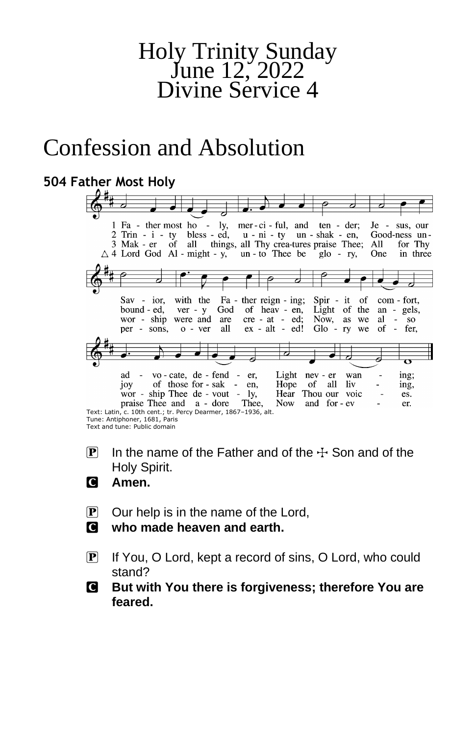# Holy Trinity Sunday June 12, 2022 Divine Service 4

# Confession and Absolution

### **504 Father Most Holy**

| 1 Fa - ther most ho - ly, mer-ci-ful, and ten - der;<br>Je - sus, our            |
|----------------------------------------------------------------------------------|
| $2$ Trin - i - ty bless - ed, u - ni - ty un - shak - en, Good-ness un-          |
| 3 Mak - er of all things, all Thy crea-tures praise Thee; All<br>for Thy         |
| $\triangle$ 4 Lord God Al - might - y, un - to Thee be glo - ry,<br>One in three |
|                                                                                  |
|                                                                                  |
|                                                                                  |
|                                                                                  |
| Sav - ior, with the Fa - ther reign - ing; Spir - it of com - fort,              |
|                                                                                  |
| God of heav - en, Light of the an - gels,<br>bound - ed, ver - y                 |
| wor - ship were and are<br>$cre - at - ed$ ; Now, as<br>al<br>$-$ SO<br>we       |
| per - sons, o - ver all ex - alt - ed! Glo - ry<br>we of - fer.                  |
|                                                                                  |
|                                                                                  |
| σ                                                                                |
|                                                                                  |
| ad - vo-cate, de - fend - er,<br>Light nev - er<br>ing;<br>wan                   |
| joy of those for - sak - en.<br>liv<br>Hope of all<br>ing,                       |
| wor - ship Thee $de - vout - ly$ ,<br>Hear Thou our voic<br>es.                  |
| praise Thee and a - dore Thee,<br>and for - ev<br>Now.<br>er.                    |
| Text: Latin, c. 10th cent.; tr. Percy Dearmer, 1867-1936, alt.                   |
| Tune: Antiphoner, 1681, Paris                                                    |

- Tune: Antiphoner, 1681, Paris Text and tune: Public domain
- $\overline{P}$  In the name of the Father and of the  $\pm$  Son and of the Holy Spirit.
- C **Amen.**
- $\mathbf{P}$  Our help is in the name of the Lord,
- C **who made heaven and earth.**
- P If You, O Lord, kept a record of sins, O Lord, who could stand?
- C **But with You there is forgiveness; therefore You are feared.**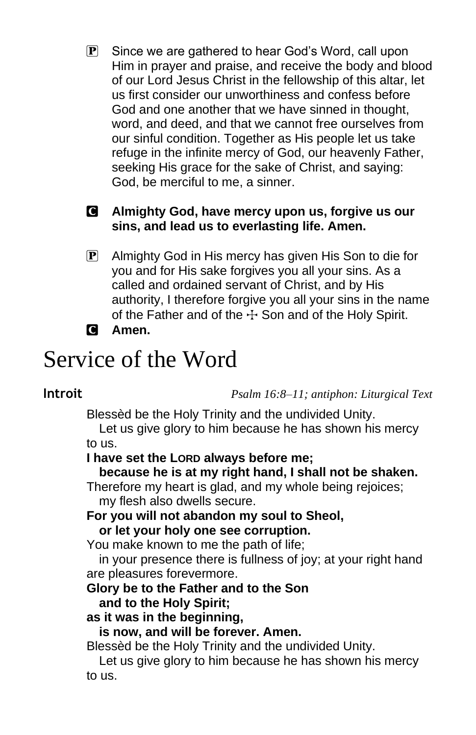$\mathbf{P}$  Since we are gathered to hear God's Word, call upon Him in prayer and praise, and receive the body and blood of our Lord Jesus Christ in the fellowship of this altar, let us first consider our unworthiness and confess before God and one another that we have sinned in thought, word, and deed, and that we cannot free ourselves from our sinful condition. Together as His people let us take refuge in the infinite mercy of God, our heavenly Father, seeking His grace for the sake of Christ, and saying: God, be merciful to me, a sinner.

### C **Almighty God, have mercy upon us, forgive us our sins, and lead us to everlasting life. Amen.**

**P** Almighty God in His mercy has given His Son to die for you and for His sake forgives you all your sins. As a called and ordained servant of Christ, and by His authority, I therefore forgive you all your sins in the name of the Father and of the  $\pm$  Son and of the Holy Spirit.

### C **Amen.**

# Service of the Word

**Introit** *Psalm 16:8–11; antiphon: Liturgical Text*

Blessèd be the Holy Trinity and the undivided Unity.

Let us give glory to him because he has shown his mercy to us.

### **I have set the LORD always before me;**

**because he is at my right hand, I shall not be shaken.**

Therefore my heart is glad, and my whole being rejoices; my flesh also dwells secure.

### **For you will not abandon my soul to Sheol,**

**or let your holy one see corruption.**

You make known to me the path of life;

in your presence there is fullness of joy; at your right hand are pleasures forevermore.

### **Glory be to the Father and to the Son**

### **and to the Holy Spirit;**

### **as it was in the beginning,**

**is now, and will be forever. Amen.**

Blessèd be the Holy Trinity and the undivided Unity.

Let us give glory to him because he has shown his mercy to us.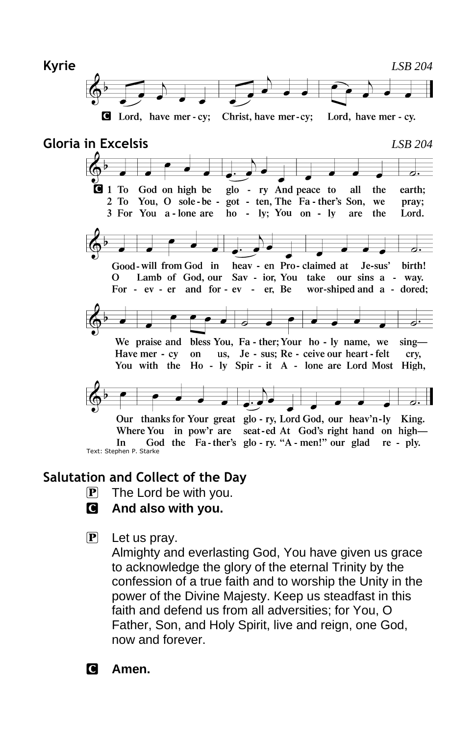

# **Gloria in Excelsis** *LSB 204*



God the Fa-ther's glo-ry. "A-men!" our glad re-ply. In Text: Stephen P. Starke

### **Salutation and Collect of the Day**

- $\overline{P}$  The Lord be with you.
- C **And also with you.**
- $\mathbf{P}$  Let us pray.

Almighty and everlasting God, You have given us grace to acknowledge the glory of the eternal Trinity by the confession of a true faith and to worship the Unity in the power of the Divine Majesty. Keep us steadfast in this faith and defend us from all adversities; for You, O Father, Son, and Holy Spirit, live and reign, one God, now and forever.

C **Amen.**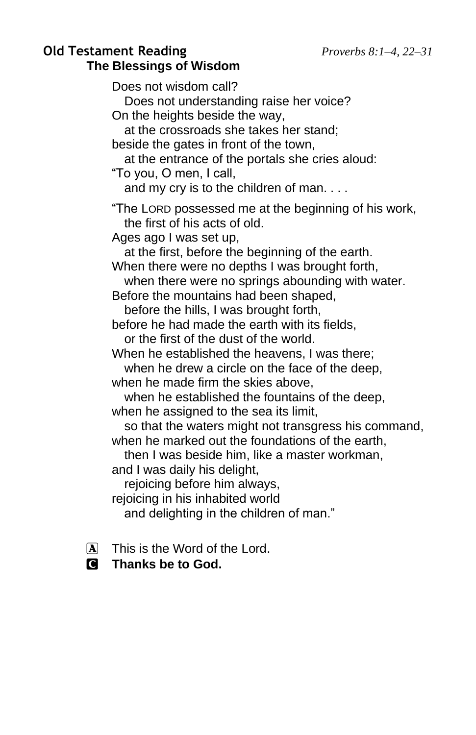### **Old Testament Reading** *Proverbs 8:1–4, 22–31* **The Blessings of Wisdom**

Does not wisdom call? Does not understanding raise her voice? On the heights beside the way, at the crossroads she takes her stand; beside the gates in front of the town, at the entrance of the portals she cries aloud: "To you, O men, I call, and my cry is to the children of man. . . . "The LORD possessed me at the beginning of his work, the first of his acts of old. Ages ago I was set up, at the first, before the beginning of the earth. When there were no depths I was brought forth, when there were no springs abounding with water. Before the mountains had been shaped, before the hills, I was brought forth, before he had made the earth with its fields, or the first of the dust of the world. When he established the heavens, I was there; when he drew a circle on the face of the deep, when he made firm the skies above, when he established the fountains of the deep, when he assigned to the sea its limit, so that the waters might not transgress his command, when he marked out the foundations of the earth, then I was beside him, like a master workman, and I was daily his delight, rejoicing before him always, reioicing in his inhabited world and delighting in the children of man."

- $\overline{A}$  This is the Word of the Lord.
- C **Thanks be to God.**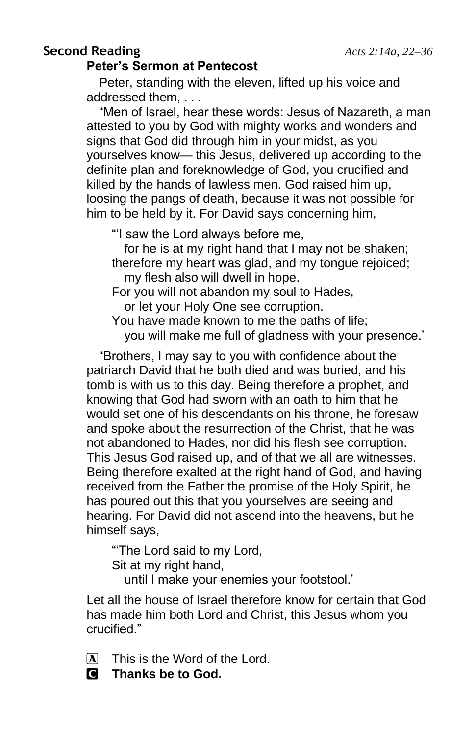### **Second Reading** *Acts 2:14a, 22–36* **Peter's Sermon at Pentecost**

Peter, standing with the eleven, lifted up his voice and addressed them, . . .

"Men of Israel, hear these words: Jesus of Nazareth, a man attested to you by God with mighty works and wonders and signs that God did through him in your midst, as you yourselves know— this Jesus, delivered up according to the definite plan and foreknowledge of God, you crucified and killed by the hands of lawless men. God raised him up, loosing the pangs of death, because it was not possible for him to be held by it. For David says concerning him,

"'I saw the Lord always before me,

for he is at my right hand that I may not be shaken; therefore my heart was glad, and my tongue rejoiced; my flesh also will dwell in hope.

For you will not abandon my soul to Hades, or let your Holy One see corruption.

You have made known to me the paths of life; you will make me full of gladness with your presence.'

"Brothers, I may say to you with confidence about the patriarch David that he both died and was buried, and his tomb is with us to this day. Being therefore a prophet, and knowing that God had sworn with an oath to him that he would set one of his descendants on his throne, he foresaw and spoke about the resurrection of the Christ, that he was not abandoned to Hades, nor did his flesh see corruption. This Jesus God raised up, and of that we all are witnesses. Being therefore exalted at the right hand of God, and having received from the Father the promise of the Holy Spirit, he has poured out this that you yourselves are seeing and hearing. For David did not ascend into the heavens, but he himself says,

"'The Lord said to my Lord, Sit at my right hand, until I make your enemies your footstool.'

Let all the house of Israel therefore know for certain that God has made him both Lord and Christ, this Jesus whom you crucified."

 $\overline{A}$  This is the Word of the Lord.

C **Thanks be to God.**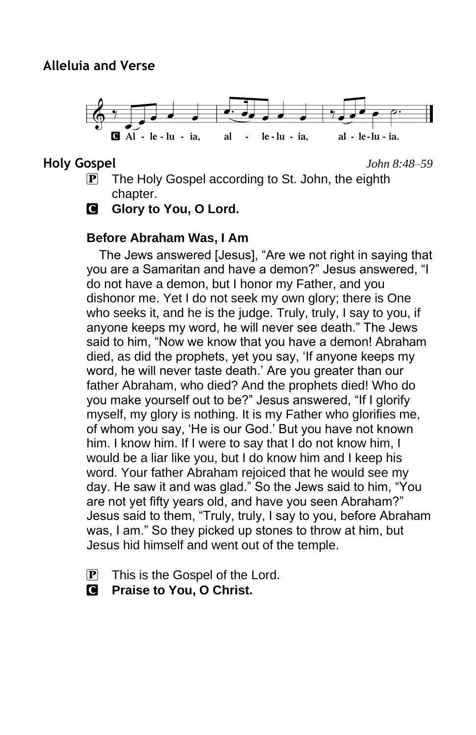

**Holy Gospel** *John 8:48–59*

- **P** The Holy Gospel according to St. John, the eighth chapter.
- **G** Glory to You, O Lord.

### **Before Abraham Was, I Am**

The Jews answered [Jesus], "Are we not right in saying that you are a Samaritan and have a demon?" Jesus answered, "I do not have a demon, but I honor my Father, and you dishonor me. Yet I do not seek my own glory; there is One who seeks it, and he is the judge. Truly, truly, I say to you, if anyone keeps my word, he will never see death." The Jews said to him, "Now we know that you have a demon! Abraham died, as did the prophets, yet you say, 'If anyone keeps my word, he will never taste death.' Are you greater than our father Abraham, who died? And the prophets died! Who do you make yourself out to be?" Jesus answered, "If I glorify myself, my glory is nothing. It is my Father who glorifies me, of whom you say, 'He is our God.' But you have not known him. I know him. If I were to say that I do not know him, I would be a liar like you, but I do know him and I keep his word. Your father Abraham rejoiced that he would see my day. He saw it and was glad." So the Jews said to him, "You are not yet fifty years old, and have you seen Abraham?" Jesus said to them, "Truly, truly, I say to you, before Abraham was, I am." So they picked up stones to throw at him, but Jesus hid himself and went out of the temple.

- $\mathbf{P}$  This is the Gospel of the Lord.
- C **Praise to You, O Christ.**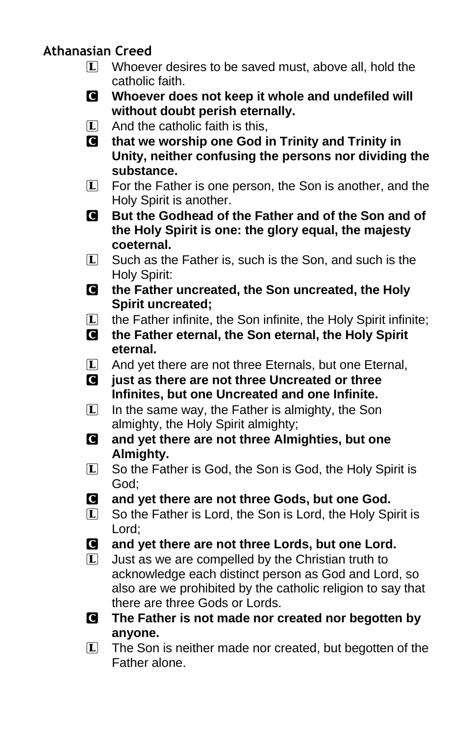### **Athanasian Creed**

- $\Box$  Whoever desires to be saved must, above all, hold the catholic faith.
- C **Whoever does not keep it whole and undefiled will without doubt perish eternally.**
- $\Box$  And the catholic faith is this,
- C **that we worship one God in Trinity and Trinity in Unity, neither confusing the persons nor dividing the substance.**
- $\mathbb{L}$  For the Father is one person, the Son is another, and the Holy Spirit is another.
- C **But the Godhead of the Father and of the Son and of the Holy Spirit is one: the glory equal, the majesty coeternal.**
- $\Box$  Such as the Father is, such is the Son, and such is the Holy Spirit:
- C **the Father uncreated, the Son uncreated, the Holy Spirit uncreated;**
- L the Father infinite, the Son infinite, the Holy Spirit infinite;
- C **the Father eternal, the Son eternal, the Holy Spirit eternal.**
- L And yet there are not three Eternals, but one Eternal,
- C **just as there are not three Uncreated or three Infinites, but one Uncreated and one Infinite.**
- $\Box$  In the same way, the Father is almighty, the Son almighty, the Holy Spirit almighty;
- C **and yet there are not three Almighties, but one Almighty.**
- L So the Father is God, the Son is God, the Holy Spirit is God;
- C **and yet there are not three Gods, but one God.**
- L So the Father is Lord, the Son is Lord, the Holy Spirit is Lord;
- C **and yet there are not three Lords, but one Lord.**
- $\Box$  Just as we are compelled by the Christian truth to acknowledge each distinct person as God and Lord, so also are we prohibited by the catholic religion to say that there are three Gods or Lords.
- C **The Father is not made nor created nor begotten by anyone.**
- $\Box$  The Son is neither made nor created, but begotten of the Father alone.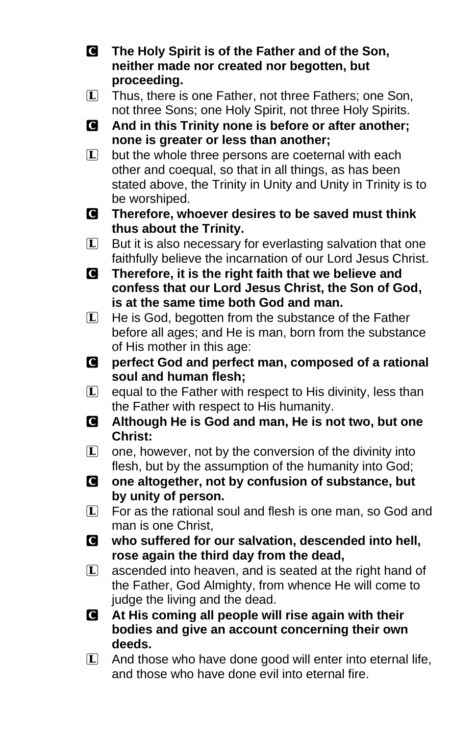- C **The Holy Spirit is of the Father and of the Son, neither made nor created nor begotten, but proceeding.**
- L Thus, there is one Father, not three Fathers; one Son, not three Sons; one Holy Spirit, not three Holy Spirits.
- C **And in this Trinity none is before or after another; none is greater or less than another;**
- $\Box$  but the whole three persons are coeternal with each other and coequal, so that in all things, as has been stated above, the Trinity in Unity and Unity in Trinity is to be worshiped.
- C **Therefore, whoever desires to be saved must think thus about the Trinity.**
- $L$  But it is also necessary for everlasting salvation that one faithfully believe the incarnation of our Lord Jesus Christ.
- C **Therefore, it is the right faith that we believe and confess that our Lord Jesus Christ, the Son of God, is at the same time both God and man.**
- $\Box$  He is God, begotten from the substance of the Father before all ages; and He is man, born from the substance of His mother in this age:
- C **perfect God and perfect man, composed of a rational soul and human flesh;**
- $\Box$  equal to the Father with respect to His divinity, less than the Father with respect to His humanity.
- C **Although He is God and man, He is not two, but one Christ:**
- $\Box$  one, however, not by the conversion of the divinity into flesh, but by the assumption of the humanity into God;
- C **one altogether, not by confusion of substance, but by unity of person.**
- $\Box$  For as the rational soul and flesh is one man, so God and man is one Christ,
- C **who suffered for our salvation, descended into hell, rose again the third day from the dead,**
- $\Box$  ascended into heaven, and is seated at the right hand of the Father, God Almighty, from whence He will come to judge the living and the dead.
- C **At His coming all people will rise again with their bodies and give an account concerning their own deeds.**
- $\Box$  And those who have done good will enter into eternal life, and those who have done evil into eternal fire.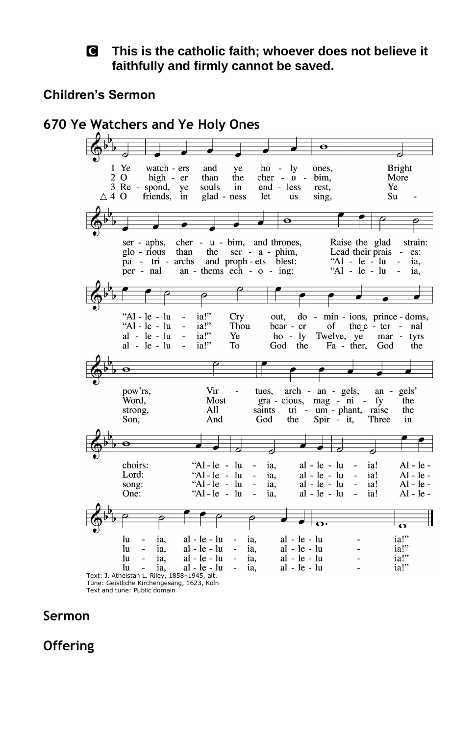#### C **This is the catholic faith; whoever does not believe it faithfully and firmly cannot be saved.**

#### **Children's Sermon**

**670 Ye Watchers and Ye Holy Ones**  $\overline{\bullet}$ **Bright**  $\mathbf{1}$ Ye watch - ers and ye  $ho - ly$ ones,  $20$ high - er than the  $cher - u$ bim. More 3 Re - spond, ye end - less Ye souls in rest,  $\triangle$  4 O friends,  $in$ glad - ness let **us** sing, Su  $\overline{\mathbf{o}}$  $ser - aphs$ , cher - u - bim, and thrones, Raise the glad strain: glo - rious than the ser - a - phim,<br>pa - tri - archs and proph - ets blest: Lead their prais es: "Al -  $le - lu$ ia. an - thems  $\overline{e}$  ch -  $\overline{o}$  - ing: "Al - le - lu ia. per - nal ia!" Cry "Al - le - lu out, do - min - ions, prince - doms,  $\frac{1}{12}$ "Al - le - lu  $\bar{z}$ Thou bear - er of the  $e$  - ter - nal  $\frac{1}{2}$  $al - le - lu$  $ho - ly$ Twelve, ye  $mar \overline{a}$ Ye tyrs  $ia$ !" God the  $al - le - lu$ To Fa - ther, God the  $\overline{\bullet}$ pow'rs, Vir arch - an - gels, gels' tues,  $an$  $\frac{1}{\text{gra}}$  - cious, mag - ni -Word, Most fy the tri - um - phant, raise<br>the Spir - it, Three strong,  $A11$ saints the Son. And God Three in  $\overline{\mathbf{e}}$ " $Al - le - lu$ choirs: ia.  $al - le - lu$ ia!  $Al - le -$ "Al - le - lu<br>"Al - le - lu  $\begin{array}{ll} \text{al} \text{ - le } \text{ - lu} \\ \text{al} \text{ - le } \text{ - lu} \end{array}$ Lord:  $\overline{\phantom{a}}$ ia. ia!  $Al - le \overline{\phantom{a}}$  $\overline{Al}$  -  $\overline{le}$  song:  $\overline{\phantom{a}}$ ia.  $\mathbf{r}$ ia! " $Al - le - lu$  $al - le - lu$  $Al - le -$ One:  $\overline{a}$ ia, ia! 6 tos.  $\overline{\mathbf{e}}$ ia!" lu ia. al - le - lu ia. al - le - lu  $ia!$ lu  $\overline{a}$ ia, al - le - lu  $\Box$ ia,  $al - le - lu$  $\overline{a}$  $\frac{1}{2}$  ia!"  $al - le - lu$ lu  $\overline{\phantom{a}}$ ia,  $al - le - lu$  $\overline{a}$ ia,  $\overline{a}$  $al - le - lu$ ia!" lu ia, ia,  $al - le - lu$  $\overline{\phantom{a}}$ Text: J. Athelstan L. Riley, 1858–1945, alt.

Tune: Geistliche Kirchengesäng, 1623, Köln Text and tune: Public domain

### **Sermon**

**Offering**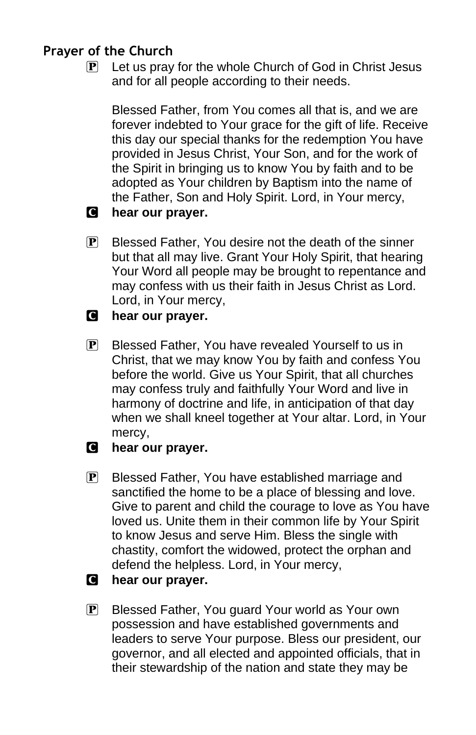### **Prayer of the Church**

 $\mathbf{P}$  Let us pray for the whole Church of God in Christ Jesus and for all people according to their needs.

Blessed Father, from You comes all that is, and we are forever indebted to Your grace for the gift of life. Receive this day our special thanks for the redemption You have provided in Jesus Christ, Your Son, and for the work of the Spirit in bringing us to know You by faith and to be adopted as Your children by Baptism into the name of the Father, Son and Holy Spirit. Lord, in Your mercy,

### C **hear our prayer.**

- $\mathbf{P}$  Blessed Father, You desire not the death of the sinner but that all may live. Grant Your Holy Spirit, that hearing Your Word all people may be brought to repentance and may confess with us their faith in Jesus Christ as Lord. Lord, in Your mercy,
- C **hear our prayer.**
- P Blessed Father, You have revealed Yourself to us in Christ, that we may know You by faith and confess You before the world. Give us Your Spirit, that all churches may confess truly and faithfully Your Word and live in harmony of doctrine and life, in anticipation of that day when we shall kneel together at Your altar. Lord, in Your mercy,
- C **hear our prayer.**
- **P** Blessed Father, You have established marriage and sanctified the home to be a place of blessing and love. Give to parent and child the courage to love as You have loved us. Unite them in their common life by Your Spirit to know Jesus and serve Him. Bless the single with chastity, comfort the widowed, protect the orphan and defend the helpless. Lord, in Your mercy,
- C **hear our prayer.**
- **P** Blessed Father, You guard Your world as Your own possession and have established governments and leaders to serve Your purpose. Bless our president, our governor, and all elected and appointed officials, that in their stewardship of the nation and state they may be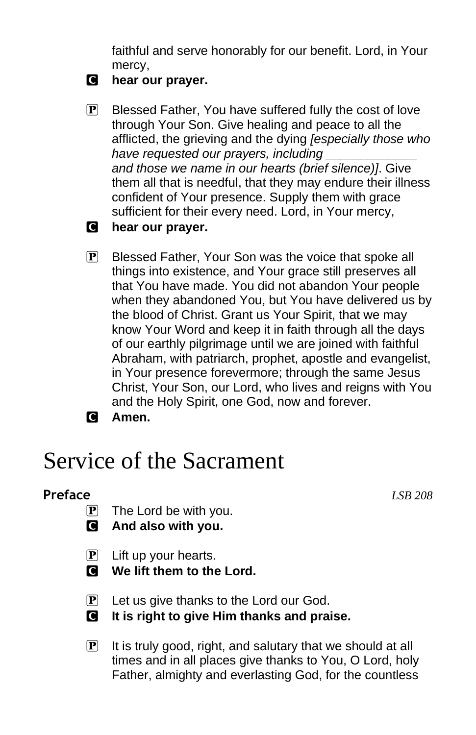faithful and serve honorably for our benefit. Lord, in Your mercy,

- C **hear our prayer.**
- $\mathbb{P}$  Blessed Father, You have suffered fully the cost of love through Your Son. Give healing and peace to all the afflicted, the grieving and the dying *[especially those who have requested our prayers, including \_\_\_\_\_\_\_\_\_\_\_\_\_ and those we name in our hearts (brief silence)]*. Give them all that is needful, that they may endure their illness confident of Your presence. Supply them with grace sufficient for their every need. Lord, in Your mercy,
- C **hear our prayer.**
- **P** Blessed Father, Your Son was the voice that spoke all things into existence, and Your grace still preserves all that You have made. You did not abandon Your people when they abandoned You, but You have delivered us by the blood of Christ. Grant us Your Spirit, that we may know Your Word and keep it in faith through all the days of our earthly pilgrimage until we are joined with faithful Abraham, with patriarch, prophet, apostle and evangelist, in Your presence forevermore; through the same Jesus Christ, Your Son, our Lord, who lives and reigns with You and the Holy Spirit, one God, now and forever.
- C **Amen.**

# Service of the Sacrament

### **Preface** *LSB 208*

- $\overline{P}$  The Lord be with you.
- C **And also with you.**
- $\mathbf{P}$  Lift up your hearts.
- C **We lift them to the Lord.**
- $\mathbf{P}$  Let us give thanks to the Lord our God.
- C **It is right to give Him thanks and praise.**
- $\mathbf{P}$  It is truly good, right, and salutary that we should at all times and in all places give thanks to You, O Lord, holy Father, almighty and everlasting God, for the countless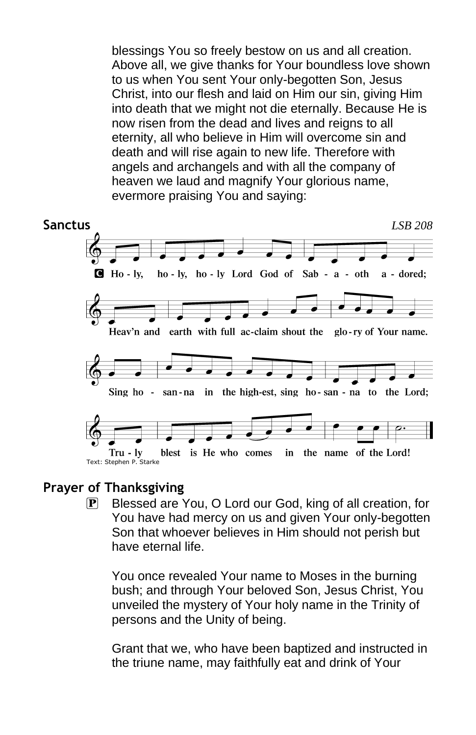blessings You so freely bestow on us and all creation. Above all, we give thanks for Your boundless love shown to us when You sent Your only-begotten Son, Jesus Christ, into our flesh and laid on Him our sin, giving Him into death that we might not die eternally. Because He is now risen from the dead and lives and reigns to all eternity, all who believe in Him will overcome sin and death and will rise again to new life. Therefore with angels and archangels and with all the company of heaven we laud and magnify Your glorious name, evermore praising You and saying:



### **Prayer of Thanksgiving**

P Blessed are You, O Lord our God, king of all creation, for You have had mercy on us and given Your only-begotten Son that whoever believes in Him should not perish but have eternal life.

You once revealed Your name to Moses in the burning bush; and through Your beloved Son, Jesus Christ, You unveiled the mystery of Your holy name in the Trinity of persons and the Unity of being.

Grant that we, who have been baptized and instructed in the triune name, may faithfully eat and drink of Your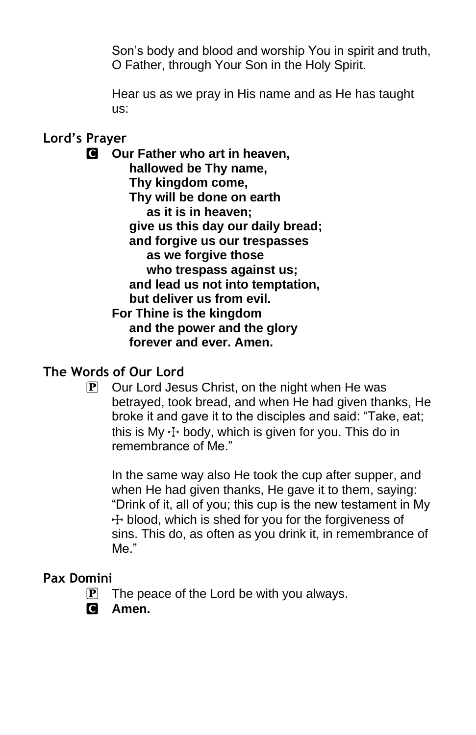Son's body and blood and worship You in spirit and truth, O Father, through Your Son in the Holy Spirit.

Hear us as we pray in His name and as He has taught us:

### **Lord's Prayer**

C **Our Father who art in heaven, hallowed be Thy name, Thy kingdom come, Thy will be done on earth as it is in heaven; give us this day our daily bread; and forgive us our trespasses as we forgive those who trespass against us; and lead us not into temptation, but deliver us from evil. For Thine is the kingdom and the power and the glory forever and ever. Amen.**

### **The Words of Our Lord**

 $\mathbf{P}$  Our Lord Jesus Christ, on the night when He was betrayed, took bread, and when He had given thanks, He broke it and gave it to the disciples and said: "Take, eat; this is Mv  $\pm$  body, which is given for you. This do in remembrance of Me."

In the same way also He took the cup after supper, and when He had given thanks, He gave it to them, saying: "Drink of it, all of you; this cup is the new testament in My  $+$  blood, which is shed for you for the forgiveness of sins. This do, as often as you drink it, in remembrance of Me."

### **Pax Domini**

- $\mathbf{P}$  The peace of the Lord be with you always.
- C **Amen.**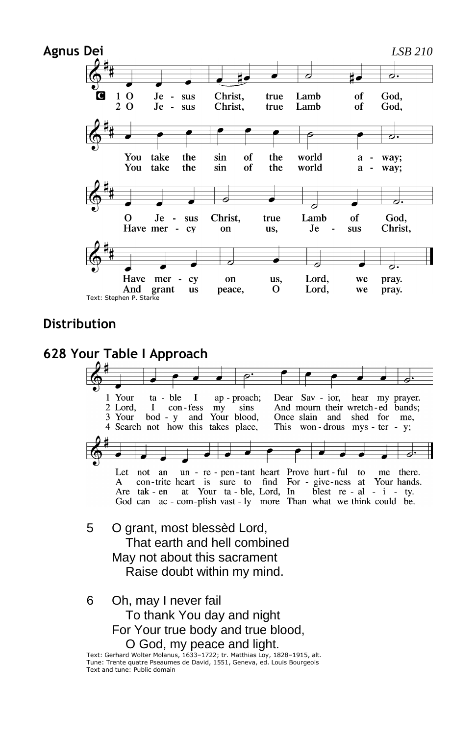

#### **Distribution**



Text: Gerhard Wolter Molanus, 1633–1722; tr. Matthias Loy, 1828–1915, alt. Tune: Trente quatre Pseaumes de David, 1551, Geneva, ed. Louis Bourgeois Text and tune: Public domain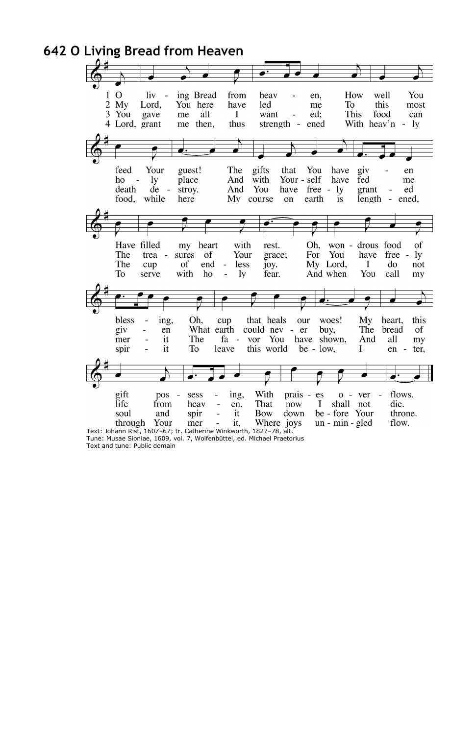

Tune: Musae Sioniae, 1609, vol. 7, Wolfenbüttel, ed. Michael Praetorius Text and tune: Public domain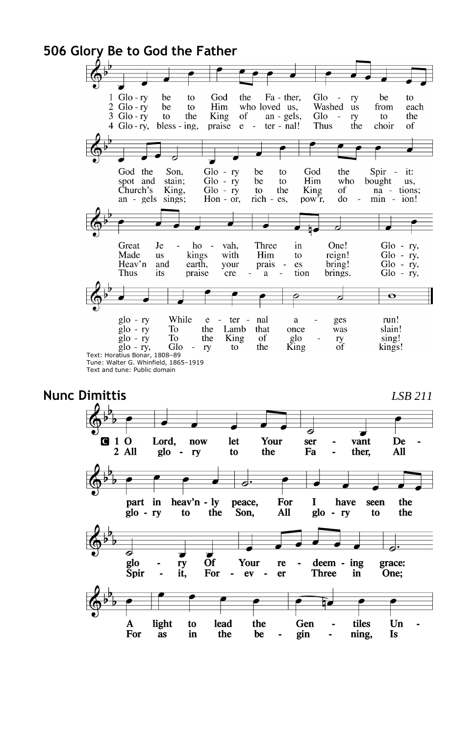#### **506 Glory Be to God the Father**  $1$  Glo - ry God the Fa - ther, Glo be to  $\sim$ ry be to  $2 \text{ Glo} - ry$ <br> $3 \text{ Glo} - ry$ be Him who loved us, Washed us from to each King  $an - gels$ , Glo to the  $of$ ry to the  $\sim$  $ter - nal!$  $4$  Glo-rv, bless - ing, praise  $\mathbf{e}$ Thus the choir of  $\sim$  $\overline{\phantom{a}}$  $\begin{array}{lcl} \mathrm{Glo} &\text{-ry} \\ \mathrm{Glo} &\text{-ry} \\ \mathrm{Glo} &\text{-ry} \end{array}$ God the God the Spir -Son, be to it: spot and who stain; be Him bought to us. Church's King, King of na - tions; to the an - gels sings; Hon -  $\alpha r$ , rich - es, pow<sup>7</sup><sub>r</sub>, do min - ion! z  $\begin{array}{ll} \text{Glo} & -\text{ ry}, \\ \text{Glo} & -\text{ ry}, \\ \text{Glo} & -\text{ ry}, \\ \text{Glo} & -\text{ ry}, \end{array}$ Great Je ho  $\overline{\phantom{a}}$ vah, Three in One! Made **us** kings with Him to reign! Heav'n and earth, your prais es bring! Thus its praise cre tion brings.  $\rm{a}$ J  $\bullet$

While  $g$ lo - ry nal run!  $e$ ter - $\mathbf a$ ges slain!  $g$ lo - ry To the Lamb that once was glo - ry<br>glo - ry, Glo<br>Text: Horatius Bonar, 1808–89 To the King of glo<br>King ry<br>of sing! kings! Glo  $\bar{\phantom{a}}$ ry to the Tune: Walter G. Whinfield, 1865–1919

### **Nunc Dimittis** *LSB 211*



Text and tune: Public domain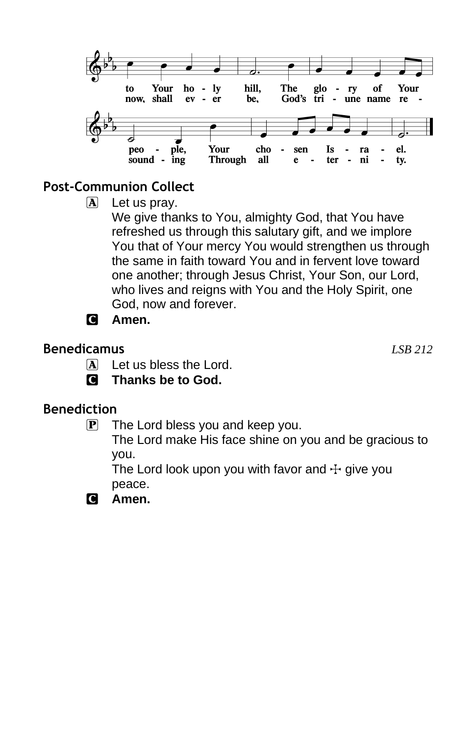

### **Post-Communion Collect**

 $\mathbf{A}$  Let us pray.

We give thanks to You, almighty God, that You have refreshed us through this salutary gift, and we implore You that of Your mercy You would strengthen us through the same in faith toward You and in fervent love toward one another; through Jesus Christ, Your Son, our Lord, who lives and reigns with You and the Holy Spirit, one God, now and forever.

C **Amen.**

### **Benedicamus** *LSB 212*

- - $\mathbf{\overline{A}}$  Let us bless the Lord.
	- C **Thanks be to God.**

### **Benediction**

 $\mathbf{P}$  The Lord bless you and keep you.

The Lord make His face shine on you and be gracious to you.

The Lord look upon you with favor and  $\pm$  give you peace.

C **Amen.**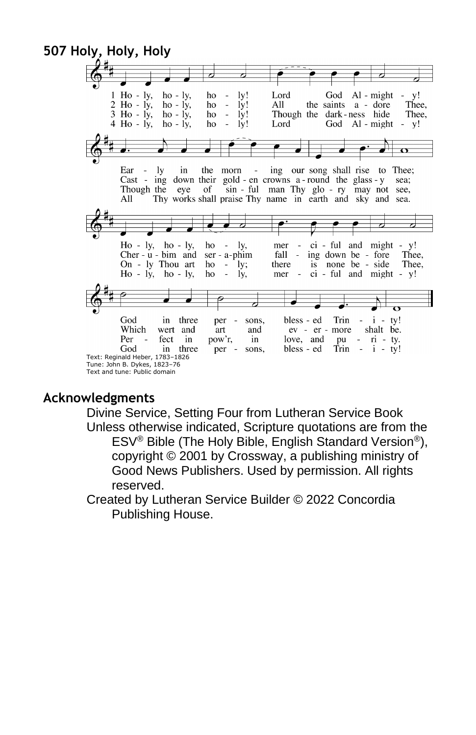

### **Acknowledgments**

Divine Service, Setting Four from Lutheran Service Book Unless otherwise indicated, Scripture quotations are from the ESV® Bible (The Holy Bible, English Standard Version®), copyright © 2001 by Crossway, a publishing ministry of Good News Publishers. Used by permission. All rights reserved.

Created by Lutheran Service Builder © 2022 Concordia Publishing House.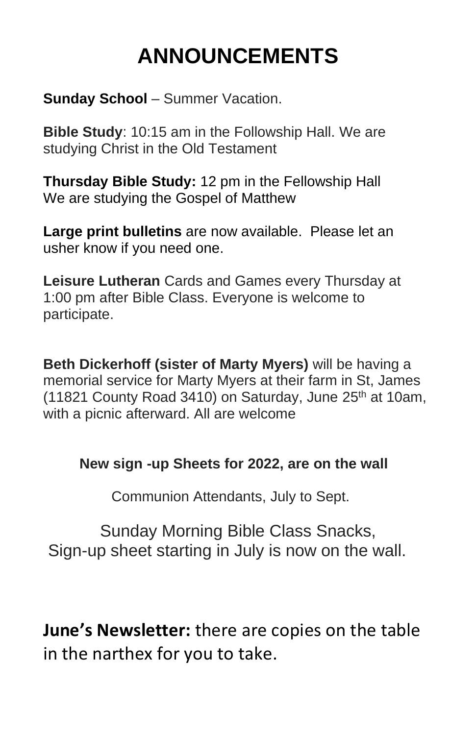# **ANNOUNCEMENTS**

**Sunday School** – Summer Vacation.

**Bible Study**: 10:15 am in the Followship Hall. We are studying Christ in the Old Testament

**Thursday Bible Study:** 12 pm in the Fellowship Hall We are studying the Gospel of Matthew

**Large print bulletins** are now available. Please let an usher know if you need one.

**Leisure Lutheran** Cards and Games every Thursday at 1:00 pm after Bible Class. Everyone is welcome to participate.

**Beth Dickerhoff (sister of Marty Myers)** will be having a memorial service for Marty Myers at their farm in St, James (11821 County Road 3410) on Saturday, June  $25<sup>th</sup>$  at 10am, with a picnic afterward. All are welcome

### **New sign -up Sheets for 2022, are on the wall**

Communion Attendants, July to Sept.

 Sunday Morning Bible Class Snacks, Sign-up sheet starting in July is now on the wall.

**June's Newsletter:** there are copies on the table in the narthex for you to take.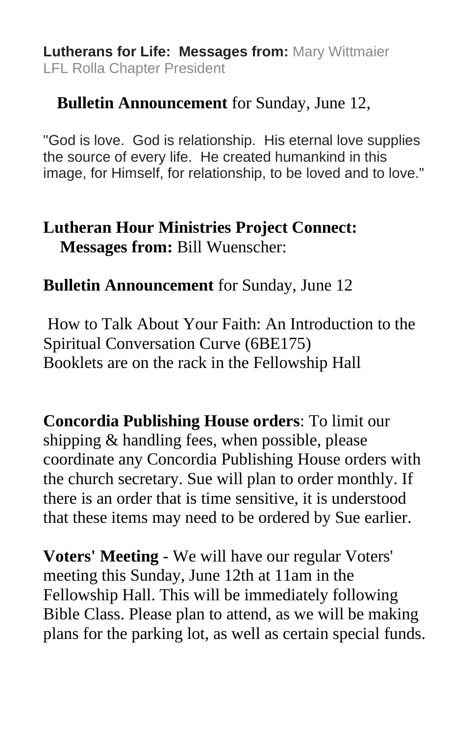**Lutherans for Life: Messages from:** Mary Wittmaier LFL Rolla Chapter President

# **Bulletin Announcement** for Sunday, June 12,

"God is love. God is relationship. His eternal love supplies the source of every life. He created humankind in this image, for Himself, for relationship, to be loved and to love."

# **Lutheran Hour Ministries Project Connect: Messages from:** Bill Wuenscher:

## **Bulletin Announcement** for Sunday, June 12

How to Talk About Your Faith: An Introduction to the Spiritual Conversation Curve (6BE175) Booklets are on the rack in the Fellowship Hall

**Concordia Publishing House orders**: To limit our shipping & handling fees, when possible, please coordinate any Concordia Publishing House orders with the church secretary. Sue will plan to order monthly. If there is an order that is time sensitive, it is understood that these items may need to be ordered by Sue earlier.

**Voters' Meeting** - We will have our regular Voters' meeting this Sunday, June 12th at 11am in the Fellowship Hall. This will be immediately following Bible Class. Please plan to attend, as we will be making plans for the parking lot, as well as certain special funds.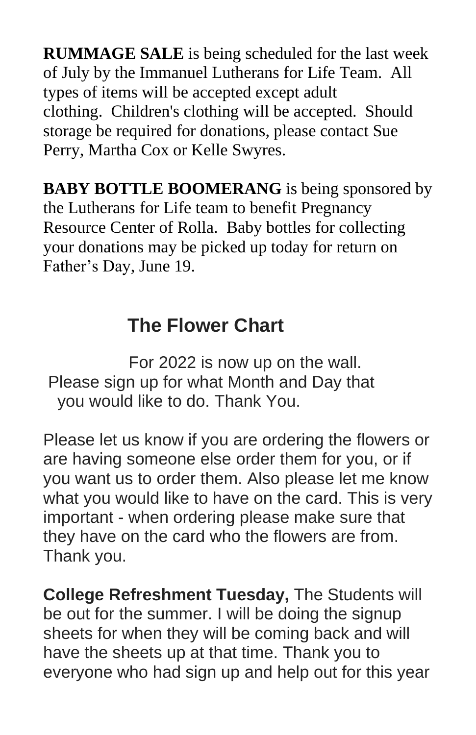**RUMMAGE SALE** is being scheduled for the last week of July by the Immanuel Lutherans for Life Team. All types of items will be accepted except adult clothing. Children's clothing will be accepted. Should storage be required for donations, please contact Sue Perry, Martha Cox or Kelle Swyres.

**BABY BOTTLE BOOMERANG** is being sponsored by the Lutherans for Life team to benefit Pregnancy Resource Center of Rolla. Baby bottles for collecting your donations may be picked up today for return on Father's Day, June 19.

# **The Flower Chart**

For 2022 is now up on the wall. Please sign up for what Month and Day that you would like to do. Thank You.

Please let us know if you are ordering the flowers or are having someone else order them for you, or if you want us to order them. Also please let me know what you would like to have on the card. This is very important - when ordering please make sure that they have on the card who the flowers are from. Thank you.

**College Refreshment Tuesday,** The Students will be out for the summer. I will be doing the signup sheets for when they will be coming back and will have the sheets up at that time. Thank you to everyone who had sign up and help out for this year